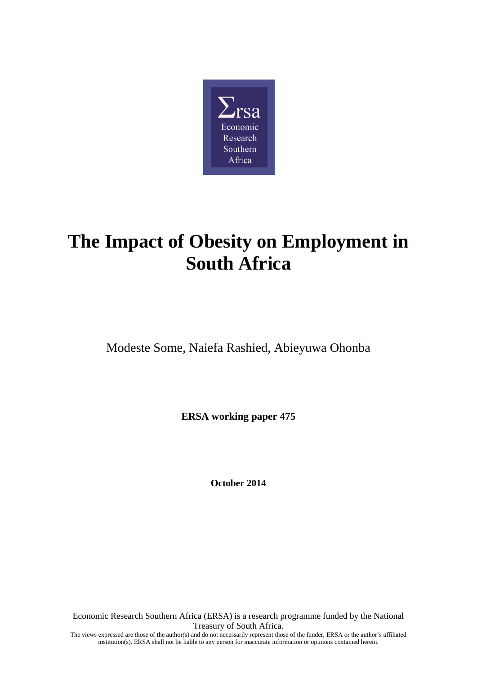

# **The Impact of Obesity on Employment in South Africa**

Modeste Some, Naiefa Rashied, Abieyuwa Ohonba

**ERSA working paper 475**

**October 2014**

Economic Research Southern Africa (ERSA) is a research programme funded by the National Treasury of South Africa. The views expressed are those of the author(s) and do not necessarily represent those of the funder, ERSA or the author's affiliated institution(s). ERSA shall not be liable to any person for inaccurate information or opinions contained herein.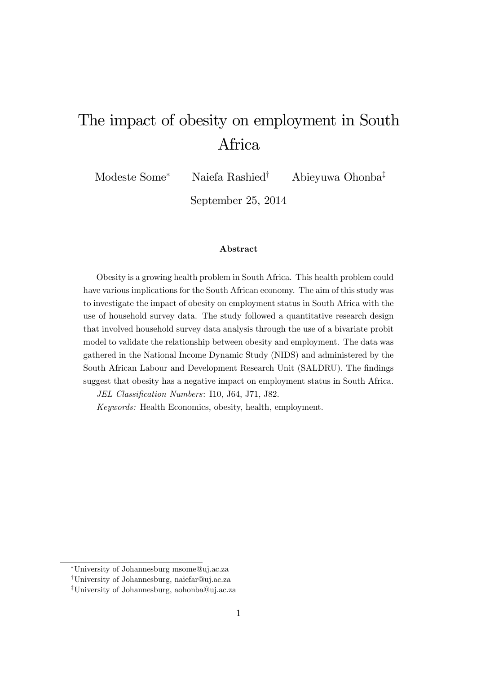# The impact of obesity on employment in South Africa

Modeste Some<sup>\*</sup> Naiefa Rashied<sup>†</sup> Abieyuwa Ohonba<sup>‡</sup>

September 25, 2014

### Abstract

Obesity is a growing health problem in South Africa. This health problem could have various implications for the South African economy. The aim of this study was to investigate the impact of obesity on employment status in South Africa with the use of household survey data. The study followed a quantitative research design that involved household survey data analysis through the use of a bivariate probit model to validate the relationship between obesity and employment. The data was gathered in the National Income Dynamic Study (NIDS) and administered by the South African Labour and Development Research Unit (SALDRU). The findings suggest that obesity has a negative impact on employment status in South Africa.

JEL Classification Numbers: I10, J64, J71, J82.

Keywords: Health Economics, obesity, health, employment.

University of Johannesburg msome@uj.ac.za

<sup>y</sup>University of Johannesburg, naiefar@uj.ac.za

<sup>&</sup>lt;sup>‡</sup>University of Johannesburg, aohonba@uj.ac.za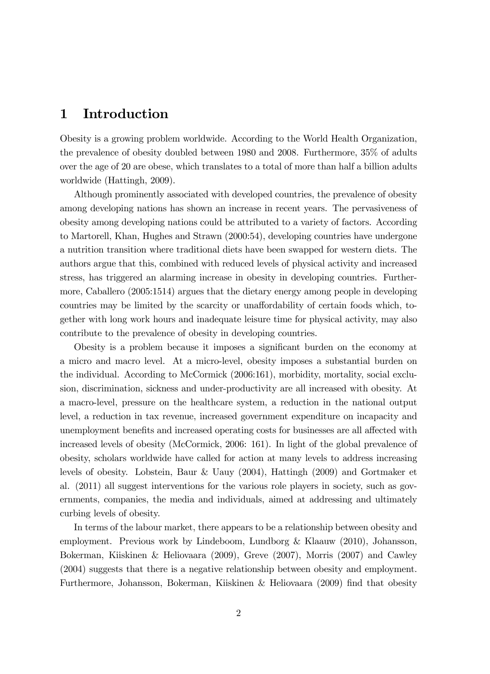# 1 Introduction

Obesity is a growing problem worldwide. According to the World Health Organization, the prevalence of obesity doubled between 1980 and 2008. Furthermore, 35% of adults over the age of 20 are obese, which translates to a total of more than half a billion adults worldwide (Hattingh, 2009).

Although prominently associated with developed countries, the prevalence of obesity among developing nations has shown an increase in recent years. The pervasiveness of obesity among developing nations could be attributed to a variety of factors. According to Martorell, Khan, Hughes and Strawn (2000:54), developing countries have undergone a nutrition transition where traditional diets have been swapped for western diets. The authors argue that this, combined with reduced levels of physical activity and increased stress, has triggered an alarming increase in obesity in developing countries. Furthermore, Caballero (2005:1514) argues that the dietary energy among people in developing countries may be limited by the scarcity or unaffordability of certain foods which, together with long work hours and inadequate leisure time for physical activity, may also contribute to the prevalence of obesity in developing countries.

Obesity is a problem because it imposes a significant burden on the economy at a micro and macro level. At a micro-level, obesity imposes a substantial burden on the individual. According to McCormick (2006:161), morbidity, mortality, social exclusion, discrimination, sickness and under-productivity are all increased with obesity. At a macro-level, pressure on the healthcare system, a reduction in the national output level, a reduction in tax revenue, increased government expenditure on incapacity and unemployment benefits and increased operating costs for businesses are all affected with increased levels of obesity (McCormick, 2006: 161). In light of the global prevalence of obesity, scholars worldwide have called for action at many levels to address increasing levels of obesity. Lobstein, Baur & Uauy (2004), Hattingh (2009) and Gortmaker et al. (2011) all suggest interventions for the various role players in society, such as governments, companies, the media and individuals, aimed at addressing and ultimately curbing levels of obesity.

In terms of the labour market, there appears to be a relationship between obesity and employment. Previous work by Lindeboom, Lundborg & Klaauw (2010), Johansson, Bokerman, Kiiskinen & Heliovaara (2009), Greve (2007), Morris (2007) and Cawley (2004) suggests that there is a negative relationship between obesity and employment. Furthermore, Johansson, Bokerman, Kiiskinen & Heliovaara (2009) find that obesity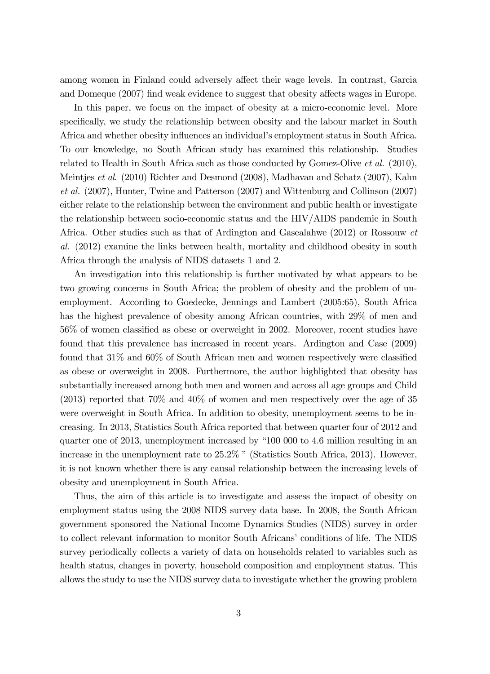among women in Finland could adversely affect their wage levels. In contrast, Garcia and Domeque (2007) find weak evidence to suggest that obesity affects wages in Europe.

In this paper, we focus on the impact of obesity at a micro-economic level. More specifically, we study the relationship between obesity and the labour market in South Africa and whether obesity influences an individual's employment status in South Africa. To our knowledge, no South African study has examined this relationship. Studies related to Health in South Africa such as those conducted by Gomez-Olive et al. (2010), Meintjes et al. (2010) Richter and Desmond (2008), Madhavan and Schatz (2007), Kahn et al. (2007), Hunter, Twine and Patterson (2007) and Wittenburg and Collinson (2007) either relate to the relationship between the environment and public health or investigate the relationship between socio-economic status and the HIV/AIDS pandemic in South Africa. Other studies such as that of Ardington and Gasealahwe (2012) or Rossouw et al. (2012) examine the links between health, mortality and childhood obesity in south Africa through the analysis of NIDS datasets 1 and 2.

An investigation into this relationship is further motivated by what appears to be two growing concerns in South Africa; the problem of obesity and the problem of unemployment. According to Goedecke, Jennings and Lambert (2005:65), South Africa has the highest prevalence of obesity among African countries, with 29% of men and 56% of women classified as obese or overweight in 2002. Moreover, recent studies have found that this prevalence has increased in recent years. Ardington and Case (2009) found that  $31\%$  and  $60\%$  of South African men and women respectively were classified as obese or overweight in 2008. Furthermore, the author highlighted that obesity has substantially increased among both men and women and across all age groups and Child (2013) reported that 70% and 40% of women and men respectively over the age of 35 were overweight in South Africa. In addition to obesity, unemployment seems to be increasing. In 2013, Statistics South Africa reported that between quarter four of 2012 and quarter one of 2013, unemployment increased by "100 000 to 4.6 million resulting in an increase in the unemployment rate to  $25.2\%$  " (Statistics South Africa, 2013). However, it is not known whether there is any causal relationship between the increasing levels of obesity and unemployment in South Africa.

Thus, the aim of this article is to investigate and assess the impact of obesity on employment status using the 2008 NIDS survey data base. In 2008, the South African government sponsored the National Income Dynamics Studies (NIDS) survey in order to collect relevant information to monitor South Africans' conditions of life. The NIDS survey periodically collects a variety of data on households related to variables such as health status, changes in poverty, household composition and employment status. This allows the study to use the NIDS survey data to investigate whether the growing problem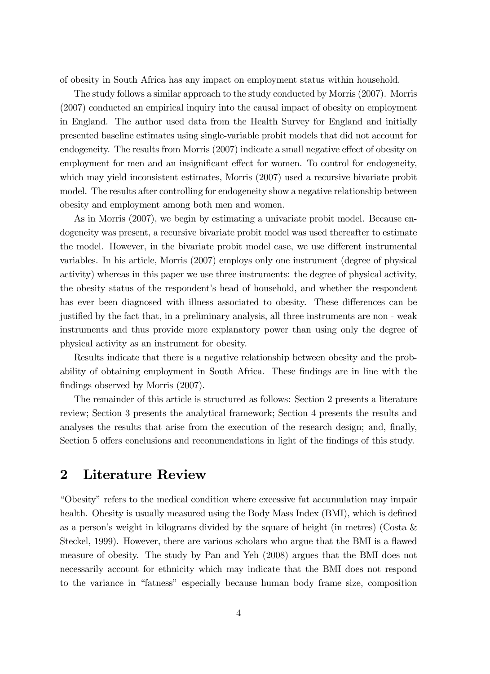of obesity in South Africa has any impact on employment status within household.

The study follows a similar approach to the study conducted by Morris (2007). Morris (2007) conducted an empirical inquiry into the causal impact of obesity on employment in England. The author used data from the Health Survey for England and initially presented baseline estimates using single-variable probit models that did not account for endogeneity. The results from Morris (2007) indicate a small negative effect of obesity on employment for men and an insignificant effect for women. To control for endogeneity, which may yield inconsistent estimates, Morris (2007) used a recursive bivariate probit model. The results after controlling for endogeneity show a negative relationship between obesity and employment among both men and women.

As in Morris (2007), we begin by estimating a univariate probit model. Because endogeneity was present, a recursive bivariate probit model was used thereafter to estimate the model. However, in the bivariate probit model case, we use different instrumental variables. In his article, Morris (2007) employs only one instrument (degree of physical activity) whereas in this paper we use three instruments: the degree of physical activity, the obesity status of the respondent's head of household, and whether the respondent has ever been diagnosed with illness associated to obesity. These differences can be justified by the fact that, in a preliminary analysis, all three instruments are non - weak instruments and thus provide more explanatory power than using only the degree of physical activity as an instrument for obesity.

Results indicate that there is a negative relationship between obesity and the probability of obtaining employment in South Africa. These findings are in line with the findings observed by Morris  $(2007)$ .

The remainder of this article is structured as follows: Section 2 presents a literature review; Section 3 presents the analytical framework; Section 4 presents the results and analyses the results that arise from the execution of the research design; and, finally, Section 5 offers conclusions and recommendations in light of the findings of this study.

# 2 Literature Review

ìObesityîrefers to the medical condition where excessive fat accumulation may impair health. Obesity is usually measured using the Body Mass Index (BMI), which is defined as a person's weight in kilograms divided by the square of height (in metres) (Costa  $\&$ Steckel, 1999). However, there are various scholars who argue that the BMI is a flawed measure of obesity. The study by Pan and Yeh (2008) argues that the BMI does not necessarily account for ethnicity which may indicate that the BMI does not respond to the variance in "fatness" especially because human body frame size, composition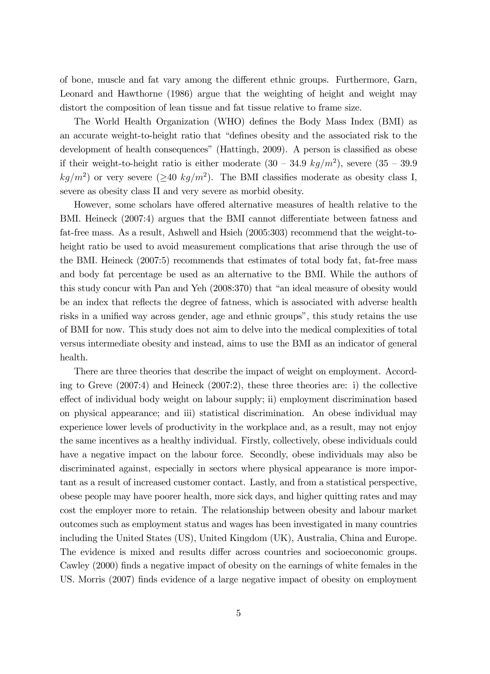of bone, muscle and fat vary among the different ethnic groups. Furthermore, Garn, Leonard and Hawthorne (1986) argue that the weighting of height and weight may distort the composition of lean tissue and fat tissue relative to frame size.

The World Health Organization (WHO) defines the Body Mass Index (BMI) as an accurate weight-to-height ratio that "defines obesity and the associated risk to the development of health consequences" (Hattingh,  $2009$ ). A person is classified as obese if their weight-to-height ratio is either moderate  $(30 - 34.9 \ kg/m^2)$ , severe  $(35 - 39.9 \text{ m})$  $kg/m^2$ ) or very severe ( $\geq$ 40 kg/m<sup>2</sup>). The BMI classifies moderate as obesity class I, severe as obesity class II and very severe as morbid obesity.

However, some scholars have offered alternative measures of health relative to the BMI. Heineck (2007:4) argues that the BMI cannot differentiate between fatness and fat-free mass. As a result, Ashwell and Hsieh (2005:303) recommend that the weight-toheight ratio be used to avoid measurement complications that arise through the use of the BMI. Heineck (2007:5) recommends that estimates of total body fat, fat-free mass and body fat percentage be used as an alternative to the BMI. While the authors of this study concur with Pan and Yeh (2008:370) that "an ideal measure of obesity would be an index that reflects the degree of fatness, which is associated with adverse health risks in a unified way across gender, age and ethnic groups", this study retains the use of BMI for now. This study does not aim to delve into the medical complexities of total versus intermediate obesity and instead, aims to use the BMI as an indicator of general health.

There are three theories that describe the impact of weight on employment. According to Greve (2007:4) and Heineck (2007:2), these three theories are: i) the collective effect of individual body weight on labour supply; ii) employment discrimination based on physical appearance; and iii) statistical discrimination. An obese individual may experience lower levels of productivity in the workplace and, as a result, may not enjoy the same incentives as a healthy individual. Firstly, collectively, obese individuals could have a negative impact on the labour force. Secondly, obese individuals may also be discriminated against, especially in sectors where physical appearance is more important as a result of increased customer contact. Lastly, and from a statistical perspective, obese people may have poorer health, more sick days, and higher quitting rates and may cost the employer more to retain. The relationship between obesity and labour market outcomes such as employment status and wages has been investigated in many countries including the United States (US), United Kingdom (UK), Australia, China and Europe. The evidence is mixed and results differ across countries and socioeconomic groups. Cawley (2000) finds a negative impact of obesity on the earnings of white females in the US. Morris (2007) finds evidence of a large negative impact of obesity on employment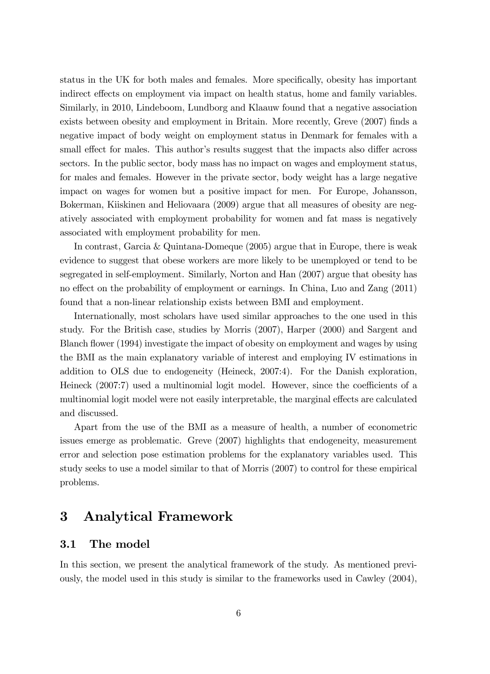status in the UK for both males and females. More specifically, obesity has important indirect effects on employment via impact on health status, home and family variables. Similarly, in 2010, Lindeboom, Lundborg and Klaauw found that a negative association exists between obesity and employment in Britain. More recently, Greve (2007) finds a negative impact of body weight on employment status in Denmark for females with a small effect for males. This author's results suggest that the impacts also differ across sectors. In the public sector, body mass has no impact on wages and employment status, for males and females. However in the private sector, body weight has a large negative impact on wages for women but a positive impact for men. For Europe, Johansson, Bokerman, Kiiskinen and Heliovaara (2009) argue that all measures of obesity are negatively associated with employment probability for women and fat mass is negatively associated with employment probability for men.

In contrast, Garcia & Quintana-Domeque (2005) argue that in Europe, there is weak evidence to suggest that obese workers are more likely to be unemployed or tend to be segregated in self-employment. Similarly, Norton and Han (2007) argue that obesity has no effect on the probability of employment or earnings. In China, Luo and Zang (2011) found that a non-linear relationship exists between BMI and employment.

Internationally, most scholars have used similar approaches to the one used in this study. For the British case, studies by Morris (2007), Harper (2000) and Sargent and Blanch flower (1994) investigate the impact of obesity on employment and wages by using the BMI as the main explanatory variable of interest and employing IV estimations in addition to OLS due to endogeneity (Heineck, 2007:4). For the Danish exploration, Heineck  $(2007:7)$  used a multinomial logit model. However, since the coefficients of a multinomial logit model were not easily interpretable, the marginal effects are calculated and discussed.

Apart from the use of the BMI as a measure of health, a number of econometric issues emerge as problematic. Greve (2007) highlights that endogeneity, measurement error and selection pose estimation problems for the explanatory variables used. This study seeks to use a model similar to that of Morris (2007) to control for these empirical problems.

# 3 Analytical Framework

## 3.1 The model

In this section, we present the analytical framework of the study. As mentioned previously, the model used in this study is similar to the frameworks used in Cawley (2004),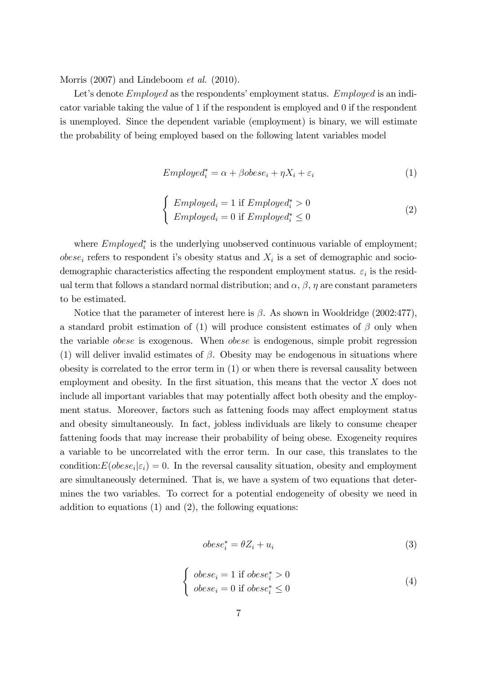Morris (2007) and Lindeboom *et al.* (2010).

Let's denote *Employed* as the respondents' employment status. *Employed* is an indicator variable taking the value of 1 if the respondent is employed and 0 if the respondent is unemployed. Since the dependent variable (employment) is binary, we will estimate the probability of being employed based on the following latent variables model

$$
Employee_{i}^{*} = \alpha + \beta obese_{i} + \eta X_{i} + \varepsilon_{i}
$$
\n
$$
\tag{1}
$$

$$
\begin{cases}\n\vspace{1mm} \text{Employee} d_i = 1 \text{ if } \text{Employee} d_i^* > 0 \\
\text{Employee} d_i = 0 \text{ if } \text{Employee} d_i^* \le 0\n\end{cases} \tag{2}
$$

where  $Employed_i^*$  is the underlying unobserved continuous variable of employment;  $obese_i$  refers to respondent i's obesity status and  $X_i$  is a set of demographic and sociodemographic characteristics affecting the respondent employment status.  $\varepsilon_i$  is the residual term that follows a standard normal distribution; and  $\alpha$ ,  $\beta$ ,  $\eta$  are constant parameters to be estimated.

Notice that the parameter of interest here is  $\beta$ . As shown in Wooldridge (2002:477), a standard probit estimation of (1) will produce consistent estimates of  $\beta$  only when the variable obese is exogenous. When obese is endogenous, simple probit regression (1) will deliver invalid estimates of  $\beta$ . Obesity may be endogenous in situations where obesity is correlated to the error term in (1) or when there is reversal causality between employment and obesity. In the first situation, this means that the vector  $X$  does not include all important variables that may potentially affect both obesity and the employment status. Moreover, factors such as fattening foods may affect employment status and obesity simultaneously. In fact, jobless individuals are likely to consume cheaper fattening foods that may increase their probability of being obese. Exogeneity requires a variable to be uncorrelated with the error term. In our case, this translates to the condition:  $E(obese_i|\varepsilon_i) = 0$ . In the reversal causality situation, obesity and employment are simultaneously determined. That is, we have a system of two equations that determines the two variables. To correct for a potential endogeneity of obesity we need in addition to equations (1) and (2), the following equations:

$$
obese_i^* = \theta Z_i + u_i \tag{3}
$$

$$
\begin{cases} \text{ } obese_i = 1 \text{ if } obese_i^* > 0\\ \text{ } obese_i = 0 \text{ if } obese_i^* \le 0 \end{cases} \tag{4}
$$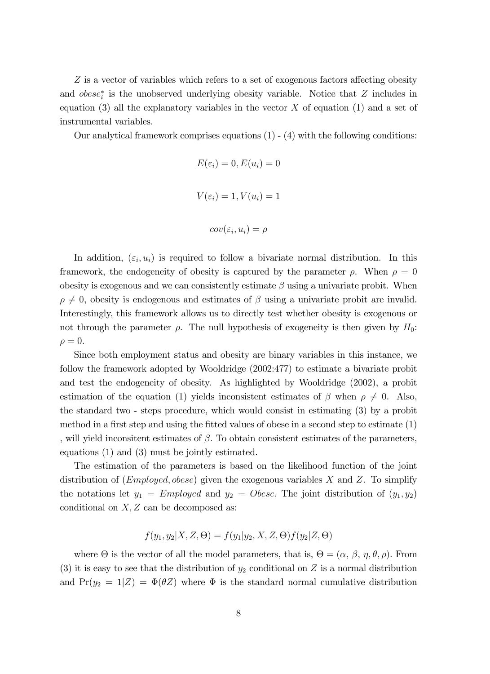$Z$  is a vector of variables which refers to a set of exogenous factors affecting obesity and  $obese_i^*$  is the unobserved underlying obesity variable. Notice that  $Z$  includes in equation  $(3)$  all the explanatory variables in the vector X of equation  $(1)$  and a set of instrumental variables.

Our analytical framework comprises equations  $(1)$  -  $(4)$  with the following conditions:

$$
E(\varepsilon_i) = 0, E(u_i) = 0
$$
  

$$
V(\varepsilon_i) = 1, V(u_i) = 1
$$
  

$$
cov(\varepsilon_i, u_i) = \rho
$$

In addition,  $(\varepsilon_i, u_i)$  is required to follow a bivariate normal distribution. In this framework, the endogeneity of obesity is captured by the parameter  $\rho$ . When  $\rho = 0$ obesity is exogenous and we can consistently estimate  $\beta$  using a univariate probit. When  $\rho \neq 0$ , obesity is endogenous and estimates of  $\beta$  using a univariate probit are invalid. Interestingly, this framework allows us to directly test whether obesity is exogenous or not through the parameter  $\rho$ . The null hypothesis of exogeneity is then given by  $H_0$ :  $\rho = 0.$ 

Since both employment status and obesity are binary variables in this instance, we follow the framework adopted by Wooldridge (2002:477) to estimate a bivariate probit and test the endogeneity of obesity. As highlighted by Wooldridge (2002), a probit estimation of the equation (1) yields inconsistent estimates of  $\beta$  when  $\rho \neq 0$ . Also, the standard two - steps procedure, which would consist in estimating (3) by a probit method in a first step and using the fitted values of obese in a second step to estimate  $(1)$ , will yield inconsitent estimates of  $\beta$ . To obtain consistent estimates of the parameters, equations (1) and (3) must be jointly estimated.

The estimation of the parameters is based on the likelihood function of the joint distribution of  $(Employd, obese)$  given the exogenous variables X and Z. To simplify the notations let  $y_1 = Employd$  and  $y_2 = Obese$ . The joint distribution of  $(y_1, y_2)$ conditional on  $X, Z$  can be decomposed as:

$$
f(y_1, y_2 | X, Z, \Theta) = f(y_1 | y_2, X, Z, \Theta) f(y_2 | Z, \Theta)
$$

where  $\Theta$  is the vector of all the model parameters, that is,  $\Theta = (\alpha, \beta, \eta, \theta, \rho)$ . From (3) it is easy to see that the distribution of  $y_2$  conditional on Z is a normal distribution and  $Pr(y_2 = 1|Z) = \Phi(\theta Z)$  where  $\Phi$  is the standard normal cumulative distribution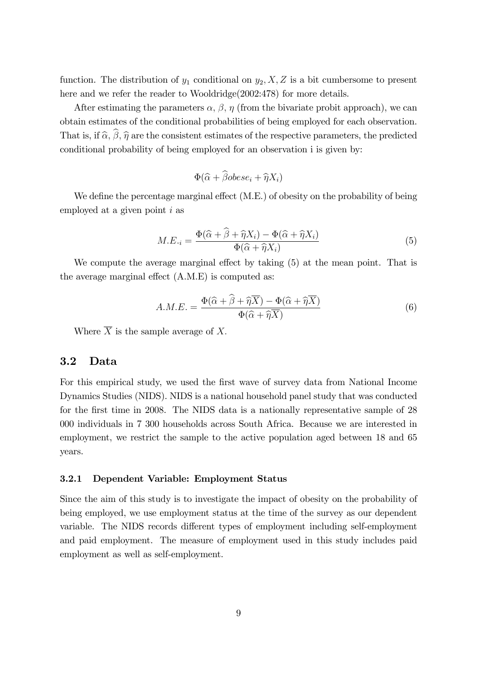function. The distribution of  $y_1$  conditional on  $y_2, X, Z$  is a bit cumbersome to present here and we refer the reader to Wooldridge(2002:478) for more details.

After estimating the parameters  $\alpha$ ,  $\beta$ ,  $\eta$  (from the bivariate probit approach), we can obtain estimates of the conditional probabilities of being employed for each observation. That is, if  $\hat{\alpha}$ ,  $\hat{\beta}$ ,  $\hat{\eta}$  are the consistent estimates of the respective parameters, the predicted conditional probability of being employed for an observation i is given by:

$$
\Phi(\widehat{\alpha} + \widehat{\beta}obese_i + \widehat{\eta}X_i)
$$

We define the percentage marginal effect  $(M.E.)$  of obesity on the probability of being employed at a given point  $i$  as

$$
M.E_{\cdot i} = \frac{\Phi(\widehat{\alpha} + \widehat{\beta} + \widehat{\eta}X_i) - \Phi(\widehat{\alpha} + \widehat{\eta}X_i)}{\Phi(\widehat{\alpha} + \widehat{\eta}X_i)}
$$
(5)

We compute the average marginal effect by taking  $(5)$  at the mean point. That is the average marginal effect  $(A.M.E)$  is computed as:

$$
A.M.E. = \frac{\Phi(\widehat{\alpha} + \widehat{\beta} + \widehat{\eta} \overline{X}) - \Phi(\widehat{\alpha} + \widehat{\eta} \overline{X})}{\Phi(\widehat{\alpha} + \widehat{\eta} \overline{X})}
$$
(6)

Where  $\overline{X}$  is the sample average of X.

## 3.2 Data

For this empirical study, we used the first wave of survey data from National Income Dynamics Studies (NIDS). NIDS is a national household panel study that was conducted for the first time in 2008. The NIDS data is a nationally representative sample of 28 000 individuals in 7 300 households across South Africa. Because we are interested in employment, we restrict the sample to the active population aged between 18 and 65 years.

#### 3.2.1 Dependent Variable: Employment Status

Since the aim of this study is to investigate the impact of obesity on the probability of being employed, we use employment status at the time of the survey as our dependent variable. The NIDS records different types of employment including self-employment and paid employment. The measure of employment used in this study includes paid employment as well as self-employment.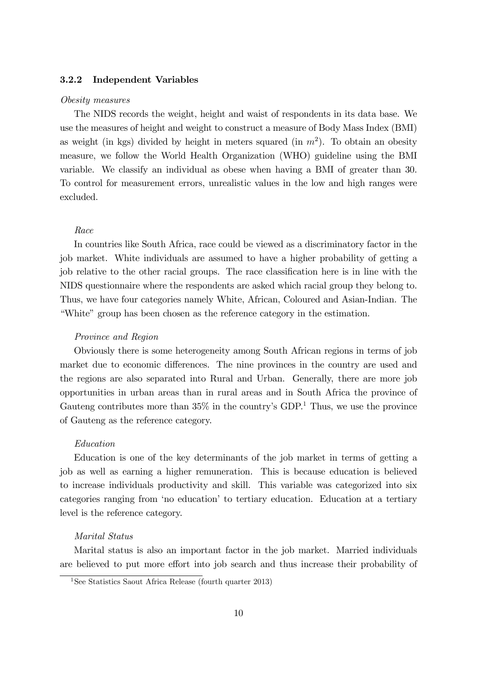### 3.2.2 Independent Variables

#### Obesity measures

The NIDS records the weight, height and waist of respondents in its data base. We use the measures of height and weight to construct a measure of Body Mass Index (BMI) as weight (in kgs) divided by height in meters squared (in  $m<sup>2</sup>$ ). To obtain an obesity measure, we follow the World Health Organization (WHO) guideline using the BMI variable. We classify an individual as obese when having a BMI of greater than 30. To control for measurement errors, unrealistic values in the low and high ranges were excluded.

#### Race

In countries like South Africa, race could be viewed as a discriminatory factor in the job market. White individuals are assumed to have a higher probability of getting a job relative to the other racial groups. The race classification here is in line with the NIDS questionnaire where the respondents are asked which racial group they belong to. Thus, we have four categories namely White, African, Coloured and Asian-Indian. The ìWhiteîgroup has been chosen as the reference category in the estimation.

#### Province and Region

Obviously there is some heterogeneity among South African regions in terms of job market due to economic differences. The nine provinces in the country are used and the regions are also separated into Rural and Urban. Generally, there are more job opportunities in urban areas than in rural areas and in South Africa the province of Gauteng contributes more than  $35\%$  in the country's GDP.<sup>1</sup> Thus, we use the province of Gauteng as the reference category.

#### Education

Education is one of the key determinants of the job market in terms of getting a job as well as earning a higher remuneration. This is because education is believed to increase individuals productivity and skill. This variable was categorized into six categories ranging from 'no education' to tertiary education. Education at a tertiary level is the reference category.

#### Marital Status

Marital status is also an important factor in the job market. Married individuals are believed to put more effort into job search and thus increase their probability of

<sup>&</sup>lt;sup>1</sup>See Statistics Saout Africa Release (fourth quarter 2013)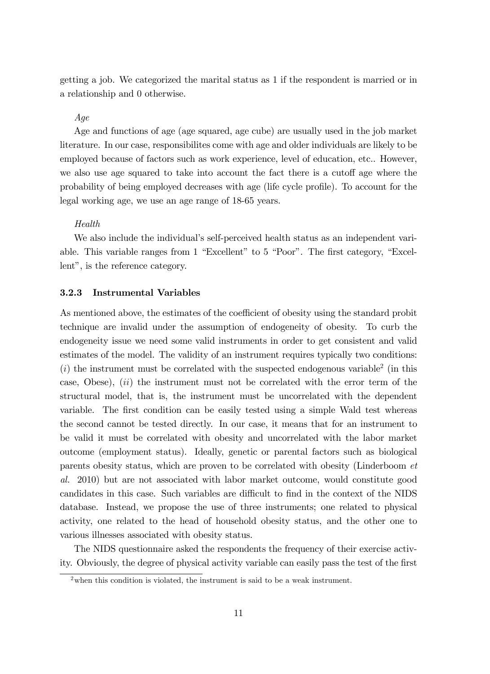getting a job. We categorized the marital status as 1 if the respondent is married or in a relationship and 0 otherwise.

## Age

Age and functions of age (age squared, age cube) are usually used in the job market literature. In our case, responsibilites come with age and older individuals are likely to be employed because of factors such as work experience, level of education, etc.. However, we also use age squared to take into account the fact there is a cutoff age where the probability of being employed decreases with age (life cycle profile). To account for the legal working age, we use an age range of 18-65 years.

#### Health

We also include the individual's self-perceived health status as an independent variable. This variable ranges from  $1$  "Excellent" to  $5$  "Poor". The first category, "Excellent", is the reference category.

### 3.2.3 Instrumental Variables

As mentioned above, the estimates of the coefficient of obesity using the standard probit technique are invalid under the assumption of endogeneity of obesity. To curb the endogeneity issue we need some valid instruments in order to get consistent and valid estimates of the model. The validity of an instrument requires typically two conditions:  $(i)$  the instrument must be correlated with the suspected endogenous variable<sup>2</sup> (in this case, Obese),  $(ii)$  the instrument must not be correlated with the error term of the structural model, that is, the instrument must be uncorrelated with the dependent variable. The first condition can be easily tested using a simple Wald test whereas the second cannot be tested directly. In our case, it means that for an instrument to be valid it must be correlated with obesity and uncorrelated with the labor market outcome (employment status). Ideally, genetic or parental factors such as biological parents obesity status, which are proven to be correlated with obesity (Linderboom et al. 2010) but are not associated with labor market outcome, would constitute good candidates in this case. Such variables are difficult to find in the context of the NIDS database. Instead, we propose the use of three instruments; one related to physical activity, one related to the head of household obesity status, and the other one to various illnesses associated with obesity status.

The NIDS questionnaire asked the respondents the frequency of their exercise activity. Obviously, the degree of physical activity variable can easily pass the test of the first

 $2$  when this condition is violated, the instrument is said to be a weak instrument.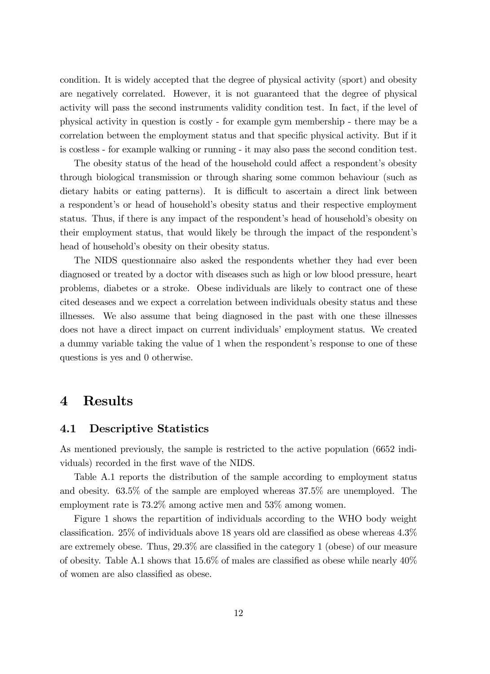condition. It is widely accepted that the degree of physical activity (sport) and obesity are negatively correlated. However, it is not guaranteed that the degree of physical activity will pass the second instruments validity condition test. In fact, if the level of physical activity in question is costly - for example gym membership - there may be a correlation between the employment status and that specific physical activity. But if it is costless - for example walking or running - it may also pass the second condition test.

The obesity status of the head of the household could affect a respondent's obesity through biological transmission or through sharing some common behaviour (such as dietary habits or eating patterns). It is difficult to ascertain a direct link between a respondent's or head of household's obesity status and their respective employment status. Thus, if there is any impact of the respondent's head of household's obesity on their employment status, that would likely be through the impact of the respondentís head of household's obesity on their obesity status.

The NIDS questionnaire also asked the respondents whether they had ever been diagnosed or treated by a doctor with diseases such as high or low blood pressure, heart problems, diabetes or a stroke. Obese individuals are likely to contract one of these cited deseases and we expect a correlation between individuals obesity status and these illnesses. We also assume that being diagnosed in the past with one these illnesses does not have a direct impact on current individuals' employment status. We created a dummy variable taking the value of 1 when the respondent's response to one of these questions is yes and 0 otherwise.

## 4 Results

## 4.1 Descriptive Statistics

As mentioned previously, the sample is restricted to the active population (6652 individuals) recorded in the first wave of the NIDS.

Table A.1 reports the distribution of the sample according to employment status and obesity. 63.5% of the sample are employed whereas 37.5% are unemployed. The employment rate is 73.2% among active men and 53% among women.

Figure 1 shows the repartition of individuals according to the WHO body weight classification. 25% of individuals above 18 years old are classified as obese whereas  $4.3\%$ are extremely obese. Thus,  $29.3\%$  are classified in the category 1 (obese) of our measure of obesity. Table A.1 shows that  $15.6\%$  of males are classified as obese while nearly  $40\%$ of women are also classified as obese.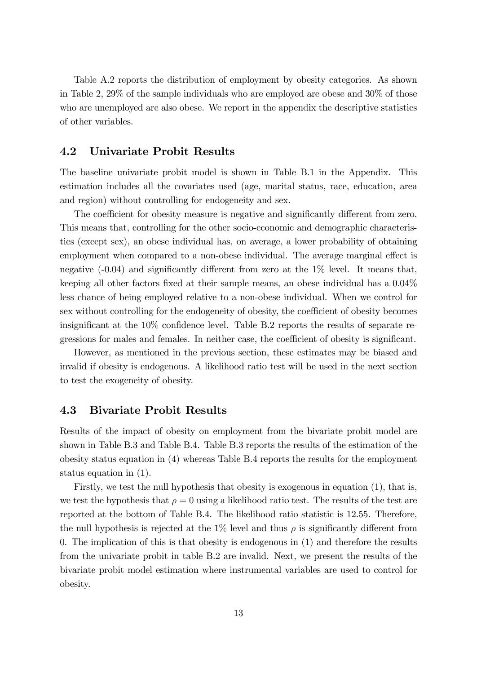Table A.2 reports the distribution of employment by obesity categories. As shown in Table 2, 29% of the sample individuals who are employed are obese and 30% of those who are unemployed are also obese. We report in the appendix the descriptive statistics of other variables.

## 4.2 Univariate Probit Results

The baseline univariate probit model is shown in Table B.1 in the Appendix. This estimation includes all the covariates used (age, marital status, race, education, area and region) without controlling for endogeneity and sex.

The coefficient for obesity measure is negative and significantly different from zero. This means that, controlling for the other socio-economic and demographic characteristics (except sex), an obese individual has, on average, a lower probability of obtaining employment when compared to a non-obese individual. The average marginal effect is negative  $(-0.04)$  and significantly different from zero at the  $1\%$  level. It means that, keeping all other factors fixed at their sample means, an obese individual has a  $0.04\%$ less chance of being employed relative to a non-obese individual. When we control for sex without controlling for the endogeneity of obesity, the coefficient of obesity becomes insignificant at the  $10\%$  confidence level. Table B.2 reports the results of separate regressions for males and females. In neither case, the coefficient of obesity is significant.

However, as mentioned in the previous section, these estimates may be biased and invalid if obesity is endogenous. A likelihood ratio test will be used in the next section to test the exogeneity of obesity.

## 4.3 Bivariate Probit Results

Results of the impact of obesity on employment from the bivariate probit model are shown in Table B.3 and Table B.4. Table B.3 reports the results of the estimation of the obesity status equation in (4) whereas Table B.4 reports the results for the employment status equation in (1).

Firstly, we test the null hypothesis that obesity is exogenous in equation (1), that is, we test the hypothesis that  $\rho = 0$  using a likelihood ratio test. The results of the test are reported at the bottom of Table B.4. The likelihood ratio statistic is 12.55. Therefore, the null hypothesis is rejected at the  $1\%$  level and thus  $\rho$  is significantly different from 0. The implication of this is that obesity is endogenous in (1) and therefore the results from the univariate probit in table B.2 are invalid. Next, we present the results of the bivariate probit model estimation where instrumental variables are used to control for obesity.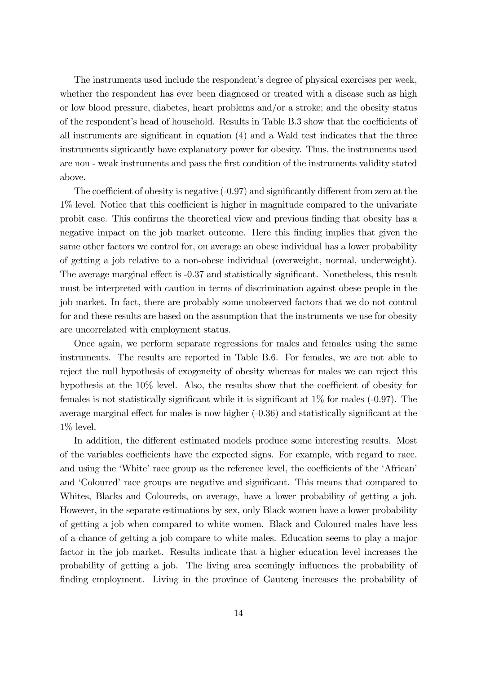The instruments used include the respondent's degree of physical exercises per week, whether the respondent has ever been diagnosed or treated with a disease such as high or low blood pressure, diabetes, heart problems and/or a stroke; and the obesity status of the respondent's head of household. Results in Table B.3 show that the coefficients of all instruments are significant in equation  $(4)$  and a Wald test indicates that the three instruments signicantly have explanatory power for obesity. Thus, the instruments used are non - weak instruments and pass the first condition of the instruments validity stated above.

The coefficient of obesity is negative  $(-0.97)$  and significantly different from zero at the  $1\%$  level. Notice that this coefficient is higher in magnitude compared to the univariate probit case. This confirms the theoretical view and previous finding that obesity has a negative impact on the job market outcome. Here this finding implies that given the same other factors we control for, on average an obese individual has a lower probability of getting a job relative to a non-obese individual (overweight, normal, underweight). The average marginal effect is  $-0.37$  and statistically significant. Nonetheless, this result must be interpreted with caution in terms of discrimination against obese people in the job market. In fact, there are probably some unobserved factors that we do not control for and these results are based on the assumption that the instruments we use for obesity are uncorrelated with employment status.

Once again, we perform separate regressions for males and females using the same instruments. The results are reported in Table B.6. For females, we are not able to reject the null hypothesis of exogeneity of obesity whereas for males we can reject this hypothesis at the  $10\%$  level. Also, the results show that the coefficient of obesity for females is not statistically significant while it is significant at  $1\%$  for males (-0.97). The average marginal effect for males is now higher  $(-0.36)$  and statistically significant at the 1% level.

In addition, the different estimated models produce some interesting results. Most of the variables coefficients have the expected signs. For example, with regard to race, and using the 'White' race group as the reference level, the coefficients of the 'African' and 'Coloured' race groups are negative and significant. This means that compared to Whites, Blacks and Coloureds, on average, have a lower probability of getting a job. However, in the separate estimations by sex, only Black women have a lower probability of getting a job when compared to white women. Black and Coloured males have less of a chance of getting a job compare to white males. Education seems to play a major factor in the job market. Results indicate that a higher education level increases the probability of getting a job. The living area seemingly ináuences the probability of finding employment. Living in the province of Gauteng increases the probability of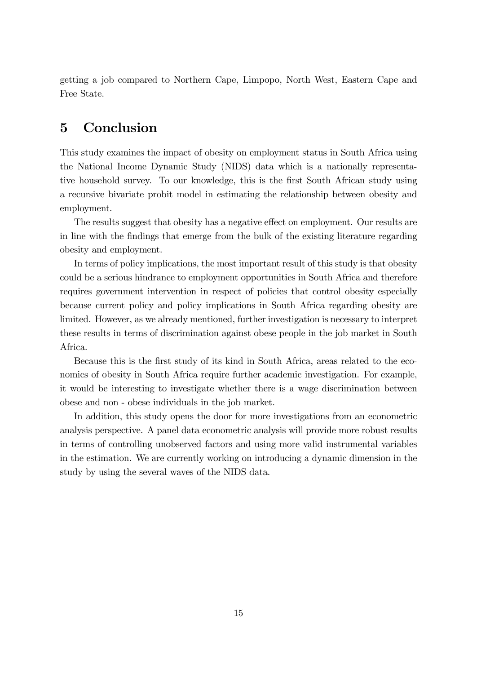getting a job compared to Northern Cape, Limpopo, North West, Eastern Cape and Free State.

# 5 Conclusion

This study examines the impact of obesity on employment status in South Africa using the National Income Dynamic Study (NIDS) data which is a nationally representative household survey. To our knowledge, this is the first South African study using a recursive bivariate probit model in estimating the relationship between obesity and employment.

The results suggest that obesity has a negative effect on employment. Our results are in line with the Öndings that emerge from the bulk of the existing literature regarding obesity and employment.

In terms of policy implications, the most important result of this study is that obesity could be a serious hindrance to employment opportunities in South Africa and therefore requires government intervention in respect of policies that control obesity especially because current policy and policy implications in South Africa regarding obesity are limited. However, as we already mentioned, further investigation is necessary to interpret these results in terms of discrimination against obese people in the job market in South Africa.

Because this is the first study of its kind in South Africa, areas related to the economics of obesity in South Africa require further academic investigation. For example, it would be interesting to investigate whether there is a wage discrimination between obese and non - obese individuals in the job market.

In addition, this study opens the door for more investigations from an econometric analysis perspective. A panel data econometric analysis will provide more robust results in terms of controlling unobserved factors and using more valid instrumental variables in the estimation. We are currently working on introducing a dynamic dimension in the study by using the several waves of the NIDS data.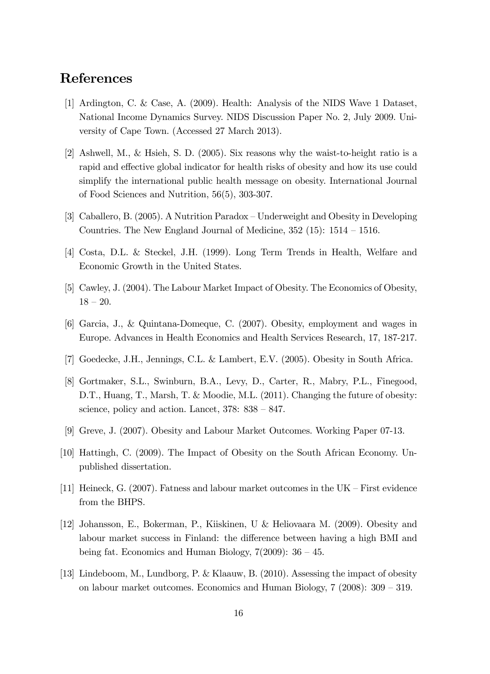# References

- [1] Ardington, C. & Case, A. (2009). Health: Analysis of the NIDS Wave 1 Dataset, National Income Dynamics Survey. NIDS Discussion Paper No. 2, July 2009. University of Cape Town. (Accessed 27 March 2013).
- [2] Ashwell, M., & Hsieh, S. D. (2005). Six reasons why the waist-to-height ratio is a rapid and effective global indicator for health risks of obesity and how its use could simplify the international public health message on obesity. International Journal of Food Sciences and Nutrition, 56(5), 303-307.
- [3] Caballero, B. (2005). A Nutrition Paradox Underweight and Obesity in Developing Countries. The New England Journal of Medicine,  $352$  (15):  $1514 - 1516$ .
- [4] Costa, D.L. & Steckel, J.H. (1999). Long Term Trends in Health, Welfare and Economic Growth in the United States.
- [5] Cawley, J. (2004). The Labour Market Impact of Obesity. The Economics of Obesity,  $18 - 20.$
- [6] Garcia, J., & Quintana-Domeque, C. (2007). Obesity, employment and wages in Europe. Advances in Health Economics and Health Services Research, 17, 187-217.
- [7] Goedecke, J.H., Jennings, C.L. & Lambert, E.V. (2005). Obesity in South Africa.
- [8] Gortmaker, S.L., Swinburn, B.A., Levy, D., Carter, R., Mabry, P.L., Finegood, D.T., Huang, T., Marsh, T. & Moodie, M.L. (2011). Changing the future of obesity: science, policy and action. Lancet,  $378: 838 - 847$ .
- [9] Greve, J. (2007). Obesity and Labour Market Outcomes. Working Paper 07-13.
- [10] Hattingh, C. (2009). The Impact of Obesity on the South African Economy. Unpublished dissertation.
- [11] Heineck, G. (2007). Fatness and labour market outcomes in the  $UK$  First evidence from the BHPS.
- [12] Johansson, E., Bokerman, P., Kiiskinen, U & Heliovaara M. (2009). Obesity and labour market success in Finland: the difference between having a high BMI and being fat. Economics and Human Biology,  $7(2009)$ :  $36 - 45$ .
- [13] Lindeboom, M., Lundborg, P. & Klaauw, B. (2010). Assessing the impact of obesity on labour market outcomes. Economics and Human Biology,  $7$  (2008):  $309 - 319$ .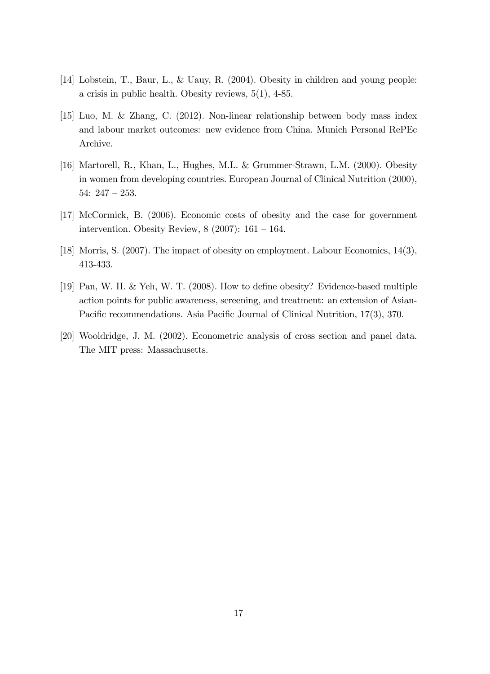- [14] Lobstein, T., Baur, L., & Uauy, R. (2004). Obesity in children and young people: a crisis in public health. Obesity reviews, 5(1), 4-85.
- [15] Luo, M. & Zhang, C. (2012). Non-linear relationship between body mass index and labour market outcomes: new evidence from China. Munich Personal RePEc Archive.
- [16] Martorell, R., Khan, L., Hughes, M.L. & Grummer-Strawn, L.M. (2000). Obesity in women from developing countries. European Journal of Clinical Nutrition (2000), 54:  $247 - 253$ .
- [17] McCormick, B. (2006). Economic costs of obesity and the case for government intervention. Obesity Review,  $8(2007)$ : 161 – 164.
- [18] Morris, S. (2007). The impact of obesity on employment. Labour Economics, 14(3), 413-433.
- [19] Pan, W. H. & Yeh, W. T. (2008). How to define obesity? Evidence-based multiple action points for public awareness, screening, and treatment: an extension of Asian-Pacific recommendations. Asia Pacific Journal of Clinical Nutrition, 17(3), 370.
- [20] Wooldridge, J. M. (2002). Econometric analysis of cross section and panel data. The MIT press: Massachusetts.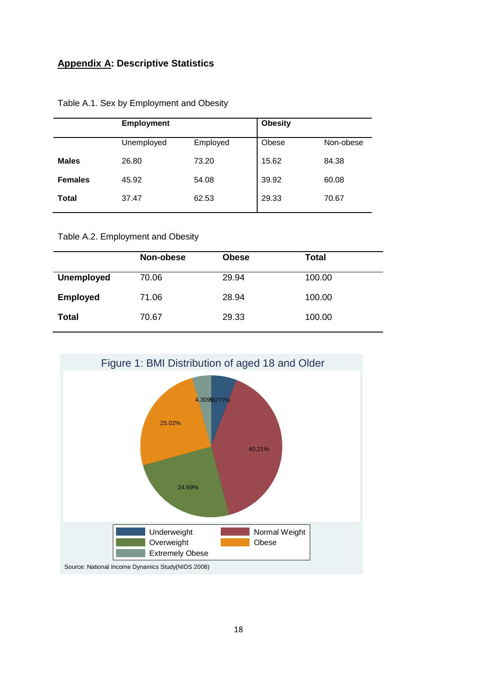## **Appendix A: Descriptive Statistics**

|                | <b>Employment</b> |          | <b>Obesity</b> |           |  |
|----------------|-------------------|----------|----------------|-----------|--|
|                | Unemployed        | Employed | Obese          | Non-obese |  |
| <b>Males</b>   | 26.80             | 73.20    | 15.62          | 84.38     |  |
| <b>Females</b> | 45.92             | 54.08    | 39.92          | 60.08     |  |
| <b>Total</b>   | 37.47             | 62.53    | 29.33          | 70.67     |  |
|                |                   |          |                |           |  |

Table A.1. Sex by Employment and Obesity

Table A.2. Employment and Obesity

|                   | Non-obese | <b>Obese</b> | <b>Total</b> |
|-------------------|-----------|--------------|--------------|
| <b>Unemployed</b> | 70.06     | 29.94        | 100.00       |
| <b>Employed</b>   | 71.06     | 28.94        | 100.00       |
| <b>Total</b>      | 70.67     | 29.33        | 100.00       |

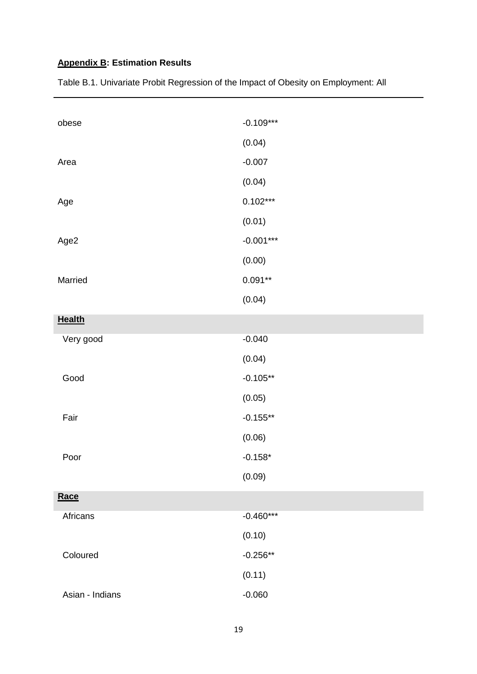# **Appendix B: Estimation Results**

| obese           | $-0.109***$ |
|-----------------|-------------|
|                 | (0.04)      |
| Area            | $-0.007$    |
|                 | (0.04)      |
| Age             | $0.102***$  |
|                 | (0.01)      |
| Age2            | $-0.001***$ |
|                 | (0.00)      |
| Married         | $0.091**$   |
|                 | (0.04)      |
| <b>Health</b>   |             |
| Very good       | $-0.040$    |
|                 | (0.04)      |
| Good            | $-0.105**$  |
|                 | (0.05)      |
| Fair            | $-0.155**$  |
|                 | (0.06)      |
| Poor            | $-0.158*$   |
|                 | (0.09)      |
| Race            |             |
| Africans        | $-0.460***$ |
|                 | (0.10)      |
| Coloured        | $-0.256**$  |
|                 | (0.11)      |
| Asian - Indians | $-0.060$    |

Table B.1. Univariate Probit Regression of the Impact of Obesity on Employment: All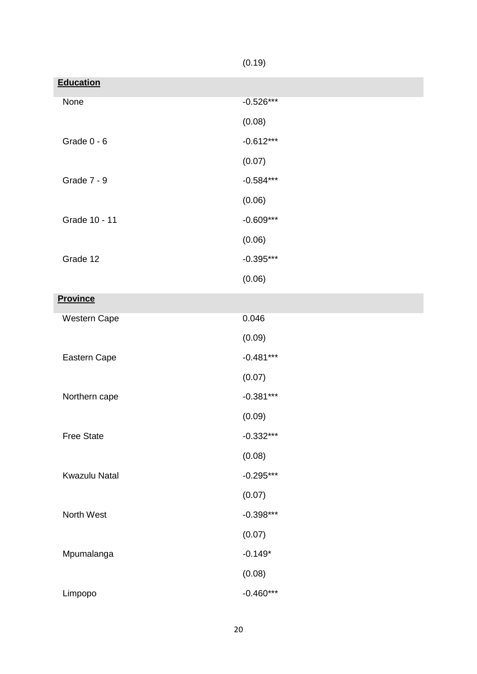|                      | (0.19)      |
|----------------------|-------------|
| <b>Education</b>     |             |
| None                 | $-0.526***$ |
|                      | (0.08)      |
| Grade $0 - 6$        | $-0.612***$ |
|                      | (0.07)      |
| <b>Grade 7 - 9</b>   | $-0.584***$ |
|                      | (0.06)      |
| Grade 10 - 11        | $-0.609***$ |
|                      | (0.06)      |
| Grade 12             | $-0.395***$ |
|                      | (0.06)      |
| <b>Province</b>      |             |
| Western Cape         | 0.046       |
|                      | (0.09)      |
| Eastern Cape         | $-0.481***$ |
|                      | (0.07)      |
| Northern cape        | $-0.381***$ |
|                      | (0.09)      |
| <b>Free State</b>    | $-0.332***$ |
|                      | (0.08)      |
| <b>Kwazulu Natal</b> | $-0.295***$ |
|                      | (0.07)      |
| North West           | $-0.398***$ |
|                      | (0.07)      |
| Mpumalanga           | $-0.149*$   |
|                      | (0.08)      |
| Limpopo              | $-0.460***$ |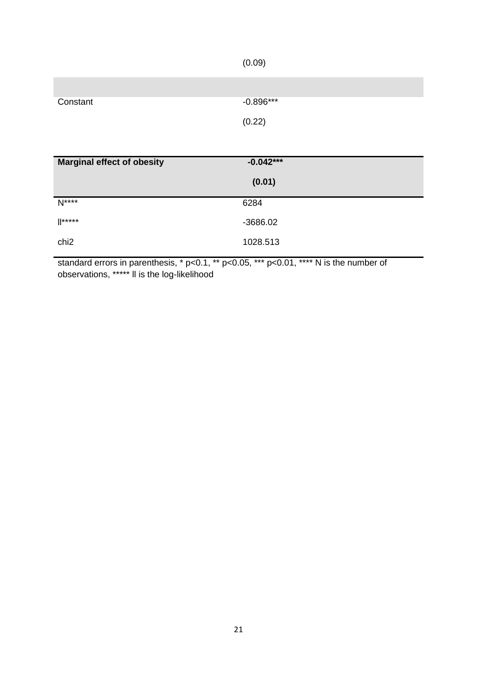|                                   | (0.09)      |
|-----------------------------------|-------------|
|                                   |             |
| Constant                          | $-0.896***$ |
|                                   | (0.22)      |
|                                   |             |
|                                   |             |
| <b>Marginal effect of obesity</b> | $-0.042***$ |
|                                   | (0.01)      |
| $N***$                            | 6284        |
| $\mathbb{I}$ *****                | $-3686.02$  |

standard errors in parenthesis, \* p<0.1, \*\* p<0.05, \*\*\* p<0.01, \*\*\*\* N is the number of observations, \*\*\*\*\* ll is the log-likelihood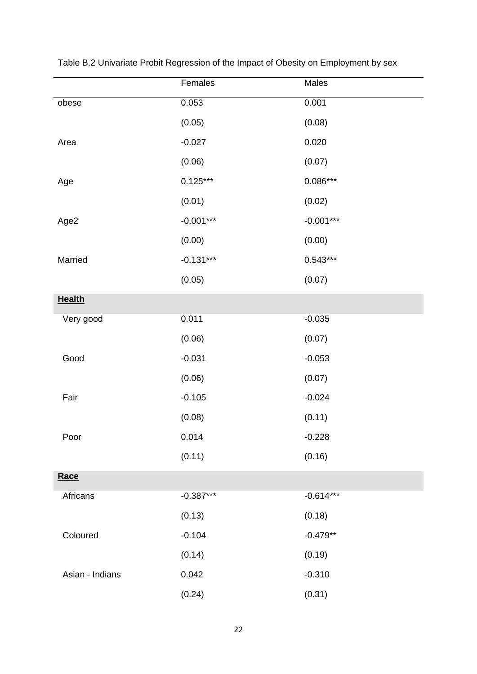|                 | Females     | Males       |
|-----------------|-------------|-------------|
| obese           | 0.053       | 0.001       |
|                 | (0.05)      | (0.08)      |
| Area            | $-0.027$    | 0.020       |
|                 | (0.06)      | (0.07)      |
| Age             | $0.125***$  | $0.086***$  |
|                 | (0.01)      | (0.02)      |
| Age2            | $-0.001***$ | $-0.001***$ |
|                 | (0.00)      | (0.00)      |
| Married         | $-0.131***$ | $0.543***$  |
|                 | (0.05)      | (0.07)      |
| <b>Health</b>   |             |             |
| Very good       | 0.011       | $-0.035$    |
|                 | (0.06)      | (0.07)      |
| Good            | $-0.031$    | $-0.053$    |
|                 | (0.06)      | (0.07)      |
| Fair            | $-0.105$    | $-0.024$    |
|                 | (0.08)      | (0.11)      |
| Poor            | 0.014       | $-0.228$    |
|                 | (0.11)      | (0.16)      |
| Race            |             |             |
| Africans        | $-0.387***$ | $-0.614***$ |
|                 | (0.13)      | (0.18)      |
| Coloured        | $-0.104$    | $-0.479**$  |
|                 | (0.14)      | (0.19)      |
| Asian - Indians | 0.042       | $-0.310$    |
|                 | (0.24)      | (0.31)      |

Table B.2 Univariate Probit Regression of the Impact of Obesity on Employment by sex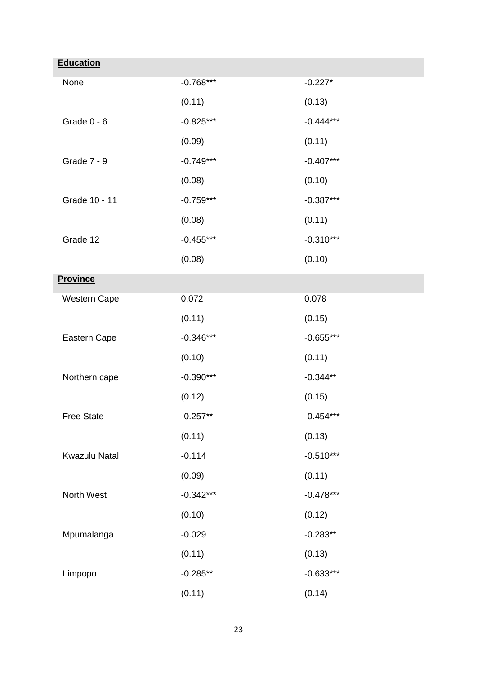| <b>Education</b>     |             |             |
|----------------------|-------------|-------------|
| None                 | $-0.768***$ | $-0.227*$   |
|                      | (0.11)      | (0.13)      |
| Grade $0 - 6$        | $-0.825***$ | $-0.444***$ |
|                      | (0.09)      | (0.11)      |
| Grade 7 - 9          | $-0.749***$ | $-0.407***$ |
|                      | (0.08)      | (0.10)      |
| Grade 10 - 11        | $-0.759***$ | $-0.387***$ |
|                      | (0.08)      | (0.11)      |
| Grade 12             | $-0.455***$ | $-0.310***$ |
|                      | (0.08)      | (0.10)      |
| <b>Province</b>      |             |             |
| Western Cape         | 0.072       | 0.078       |
|                      | (0.11)      | (0.15)      |
| Eastern Cape         | $-0.346***$ | $-0.655***$ |
|                      | (0.10)      | (0.11)      |
| Northern cape        | $-0.390***$ | $-0.344**$  |
|                      | (0.12)      | (0.15)      |
| <b>Free State</b>    | $-0.257**$  | $-0.454***$ |
|                      | (0.11)      | (0.13)      |
| <b>Kwazulu Natal</b> | $-0.114$    | $-0.510***$ |
|                      | (0.09)      | (0.11)      |
| North West           | $-0.342***$ | $-0.478***$ |
|                      | (0.10)      | (0.12)      |
| Mpumalanga           | $-0.029$    | $-0.283**$  |
|                      | (0.11)      | (0.13)      |
| Limpopo              | $-0.285**$  | $-0.633***$ |
|                      | (0.11)      | (0.14)      |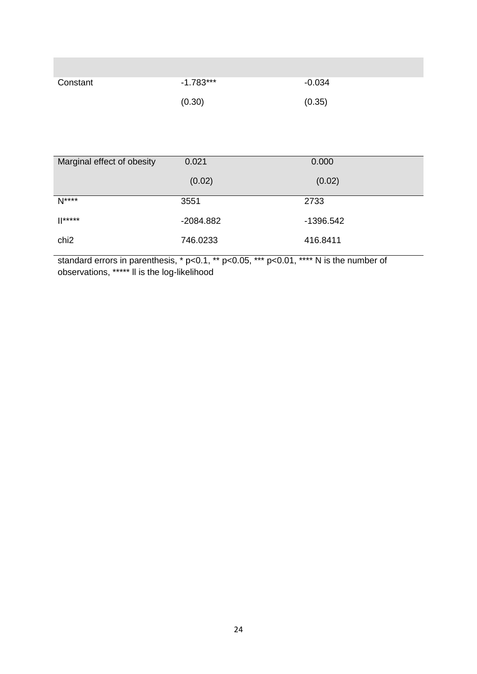| Constant | $-1.783***$ | $-0.034$ |
|----------|-------------|----------|
|          | (0.30)      | (0.35)   |

| Marginal effect of obesity | 0.021       | 0.000       |
|----------------------------|-------------|-------------|
|                            | (0.02)      | (0.02)      |
| $N***$                     | 3551        | 2733        |
| $  ^{****}$                | $-2084.882$ | $-1396.542$ |
| chi <sub>2</sub>           | 746.0233    | 416.8411    |

standard errors in parenthesis, \* p<0.1, \*\* p<0.05, \*\*\* p<0.01, \*\*\*\* N is the number of observations, \*\*\*\*\* ll is the log-likelihood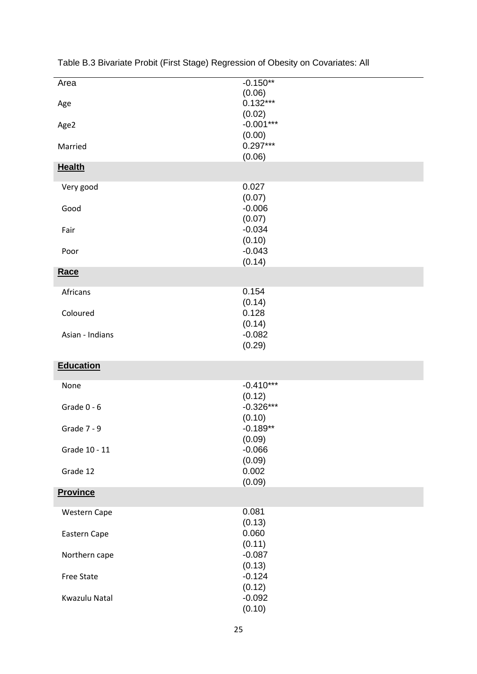| Area                | $-0.150**$                     |
|---------------------|--------------------------------|
| Age                 | (0.06)<br>$0.132***$<br>(0.02) |
| Age2                | $-0.001***$<br>(0.00)          |
| Married             | $0.297***$<br>(0.06)           |
| <b>Health</b>       |                                |
| Very good           | 0.027<br>(0.07)                |
| Good                | $-0.006$<br>(0.07)             |
| Fair                | $-0.034$<br>(0.10)             |
| Poor                | $-0.043$<br>(0.14)             |
| Race                |                                |
| Africans            | 0.154<br>(0.14)                |
| Coloured            | 0.128                          |
| Asian - Indians     | (0.14)<br>$-0.082$<br>(0.29)   |
|                     |                                |
| <b>Education</b>    |                                |
| None                | $-0.410***$<br>(0.12)          |
| Grade $0 - 6$       | $-0.326***$<br>(0.10)          |
| Grade 7 - 9         | $-0.189**$<br>(0.09)           |
| Grade 10 - 11       | $-0.066$<br>(0.09)             |
| Grade 12            | 0.002<br>(0.09)                |
| <b>Province</b>     |                                |
| <b>Western Cape</b> | 0.081<br>(0.13)                |
| Eastern Cape        | 0.060<br>(0.11)                |
| Northern cape       | $-0.087$<br>(0.13)             |
| <b>Free State</b>   | $-0.124$<br>(0.12)             |
| Kwazulu Natal       | $-0.092$<br>(0.10)             |

Table B.3 Bivariate Probit (First Stage) Regression of Obesity on Covariates: All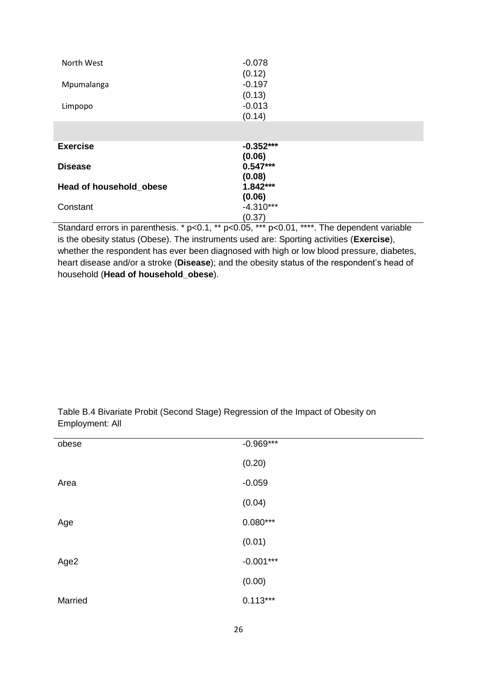| North West              | $-0.078$<br>(0.12)    |
|-------------------------|-----------------------|
| Mpumalanga              | $-0.197$              |
|                         | (0.13)                |
| Limpopo                 | $-0.013$              |
|                         | (0.14)                |
|                         |                       |
| <b>Exercise</b>         | $-0.352***$<br>(0.06) |
| <b>Disease</b>          | $0.547***$            |
|                         | (0.08)                |
| Head of household_obese | $1.842***$            |
|                         | (0.06)                |
| Constant                | $-4.310***$           |
|                         | (0.37)                |

Standard errors in parenthesis. \* p<0.1, \*\* p<0.05, \*\*\* p<0.01, \*\*\*\*. The dependent variable is the obesity status (Obese). The instruments used are: Sporting activities (**Exercise**), whether the respondent has ever been diagnosed with high or low blood pressure, diabetes, heart disease and/or a stroke (**Disease**); and the obesity status of the respondent's head of household (**Head of household\_obese**).

| obese   | $-0.969***$ |
|---------|-------------|
|         | (0.20)      |
| Area    | $-0.059$    |
|         | (0.04)      |
| Age     | $0.080***$  |
|         | (0.01)      |
| Age2    | $-0.001***$ |
|         | (0.00)      |
| Married | $0.113***$  |

Table B.4 Bivariate Probit (Second Stage) Regression of the Impact of Obesity on Employment: All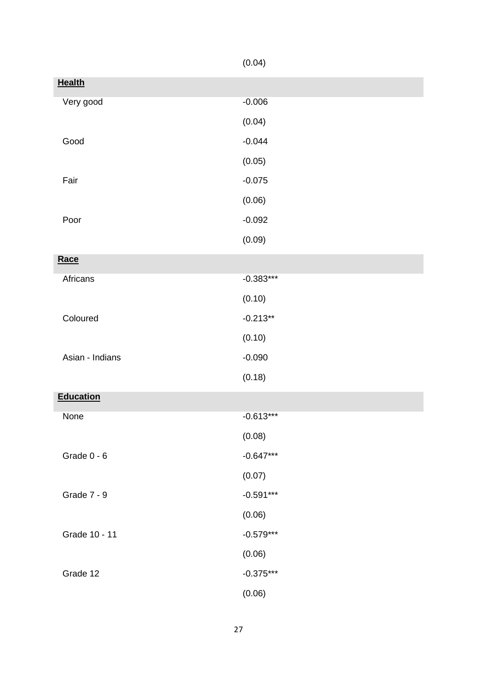|                    | (0.04)      |
|--------------------|-------------|
| <b>Health</b>      |             |
| Very good          | $-0.006$    |
|                    | (0.04)      |
| Good               | $-0.044$    |
|                    | (0.05)      |
| Fair               | $-0.075$    |
|                    | (0.06)      |
| Poor               | $-0.092$    |
|                    | (0.09)      |
| Race               |             |
| Africans           | $-0.383***$ |
|                    | (0.10)      |
| Coloured           | $-0.213**$  |
|                    | (0.10)      |
| Asian - Indians    | $-0.090$    |
|                    | (0.18)      |
| <b>Education</b>   |             |
| None               | $-0.613***$ |
|                    | (0.08)      |
| Grade $0 - 6$      | $-0.647***$ |
|                    | (0.07)      |
| <b>Grade 7 - 9</b> | $-0.591***$ |
|                    | (0.06)      |
| Grade 10 - 11      | $-0.579***$ |
|                    | (0.06)      |
| Grade 12           | $-0.375***$ |
|                    | (0.06)      |

27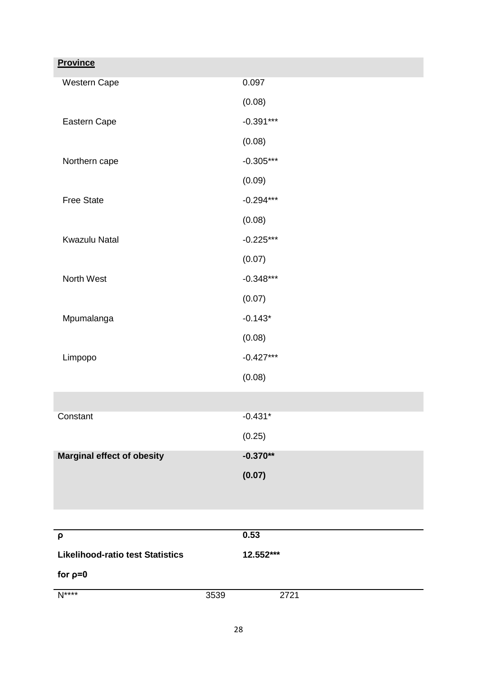| <b>Province</b>                         |             |
|-----------------------------------------|-------------|
| Western Cape                            | 0.097       |
|                                         | (0.08)      |
| Eastern Cape                            | $-0.391***$ |
|                                         | (0.08)      |
| Northern cape                           | $-0.305***$ |
|                                         | (0.09)      |
| <b>Free State</b>                       | $-0.294***$ |
|                                         | (0.08)      |
| <b>Kwazulu Natal</b>                    | $-0.225***$ |
|                                         | (0.07)      |
| North West                              | $-0.348***$ |
|                                         | (0.07)      |
| Mpumalanga                              | $-0.143*$   |
|                                         | (0.08)      |
| Limpopo                                 | $-0.427***$ |
|                                         | (0.08)      |
|                                         |             |
| Constant                                | $-0.431*$   |
|                                         | (0.25)      |
| <b>Marginal effect of obesity</b>       | $-0.370**$  |
|                                         | (0.07)      |
|                                         |             |
|                                         |             |
| ρ                                       | 0.53        |
| <b>Likelihood-ratio test Statistics</b> | 12.552***   |
| for $p=0$                               |             |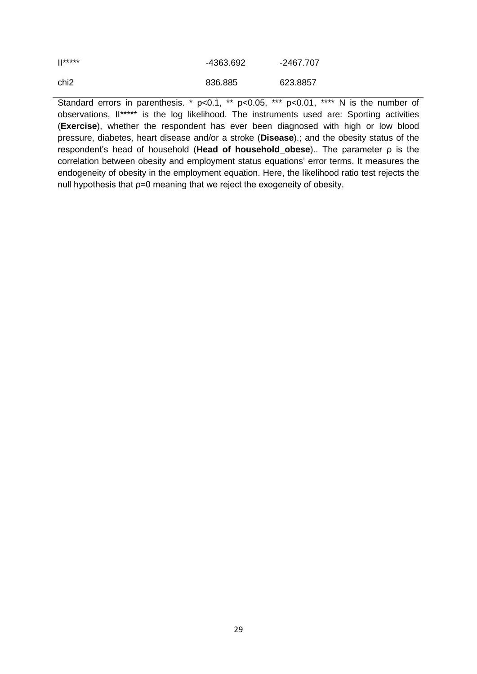| $\mathbb{I}$ ***** | -4363.692 | -2467.707 |
|--------------------|-----------|-----------|
| chi <sub>2</sub>   | 836.885   | 623.8857  |

Standard errors in parenthesis. \* p<0.1, \*\* p<0.05, \*\*\* p<0.01, \*\*\*\* N is the number of observations, II\*\*\*\*\* is the log likelihood. The instruments used are: Sporting activities (**Exercise**), whether the respondent has ever been diagnosed with high or low blood pressure, diabetes, heart disease and/or a stroke (**Disease**).; and the obesity status of the respondent's head of household (**Head of household\_obese**).. The parameter ρ is the correlation between obesity and employment status equations' error terms. It measures the endogeneity of obesity in the employment equation. Here, the likelihood ratio test rejects the null hypothesis that ρ=0 meaning that we reject the exogeneity of obesity.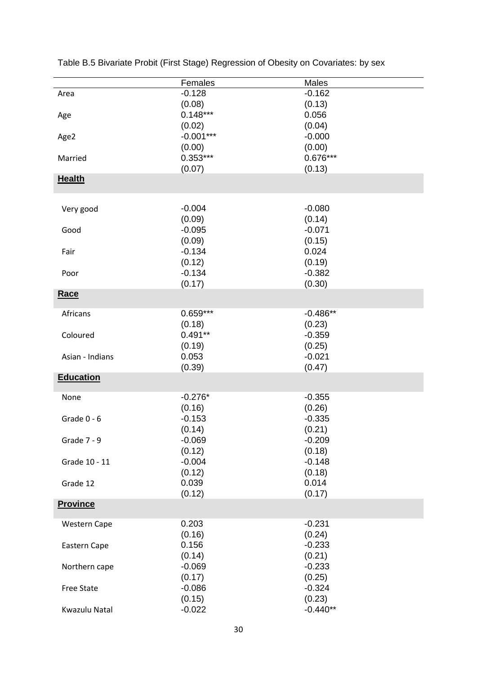|                   | Females     | Males      |
|-------------------|-------------|------------|
|                   | $-0.128$    | $-0.162$   |
| Area              |             |            |
|                   | (0.08)      | (0.13)     |
| Age               | $0.148***$  | 0.056      |
|                   | (0.02)      | (0.04)     |
| Age2              | $-0.001***$ | $-0.000$   |
|                   | (0.00)      | (0.00)     |
| Married           | $0.353***$  | $0.676***$ |
|                   | (0.07)      | (0.13)     |
| <b>Health</b>     |             |            |
|                   |             |            |
|                   |             |            |
| Very good         | $-0.004$    | $-0.080$   |
|                   |             |            |
|                   | (0.09)      | (0.14)     |
| Good              | $-0.095$    | $-0.071$   |
|                   | (0.09)      | (0.15)     |
| Fair              | $-0.134$    | 0.024      |
|                   | (0.12)      | (0.19)     |
| Poor              | $-0.134$    | $-0.382$   |
|                   | (0.17)      | (0.30)     |
| Race              |             |            |
|                   |             |            |
| Africans          | $0.659***$  | $-0.486**$ |
|                   |             |            |
|                   | (0.18)      | (0.23)     |
| Coloured          | $0.491**$   | $-0.359$   |
|                   | (0.19)      | (0.25)     |
| Asian - Indians   | 0.053       | $-0.021$   |
|                   | (0.39)      | (0.47)     |
| <b>Education</b>  |             |            |
|                   |             |            |
| None              | $-0.276*$   | $-0.355$   |
|                   | (0.16)      | (0.26)     |
| Grade $0 - 6$     | $-0.153$    | $-0.335$   |
|                   | (0.14)      | (0.21)     |
| Grade 7 - 9       |             | $-0.209$   |
|                   | $-0.069$    |            |
|                   | (0.12)      | (0.18)     |
| Grade 10 - 11     | $-0.004$    | $-0.148$   |
|                   | (0.12)      | (0.18)     |
| Grade 12          | 0.039       | 0.014      |
|                   | (0.12)      | (0.17)     |
| <b>Province</b>   |             |            |
|                   |             |            |
| Western Cape      | 0.203       | $-0.231$   |
|                   | (0.16)      | (0.24)     |
|                   | 0.156       | $-0.233$   |
| Eastern Cape      |             |            |
|                   | (0.14)      | (0.21)     |
| Northern cape     | $-0.069$    | $-0.233$   |
|                   | (0.17)      | (0.25)     |
| <b>Free State</b> | $-0.086$    | $-0.324$   |
|                   | (0.15)      | (0.23)     |
| Kwazulu Natal     | $-0.022$    | $-0.440**$ |
|                   |             |            |

Table B.5 Bivariate Probit (First Stage) Regression of Obesity on Covariates: by sex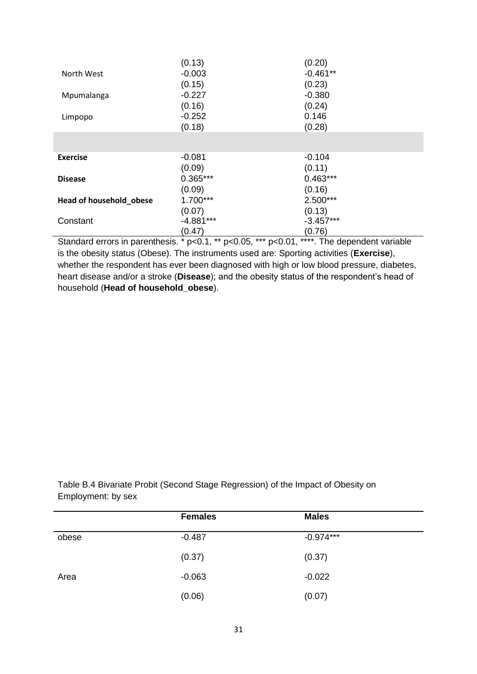|                         | (0.13)      | (0.20)      |
|-------------------------|-------------|-------------|
| North West              | $-0.003$    | $-0.461**$  |
|                         | (0.15)      | (0.23)      |
| Mpumalanga              | $-0.227$    | $-0.380$    |
|                         | (0.16)      | (0.24)      |
| Limpopo                 | $-0.252$    | 0.146       |
|                         | (0.18)      | (0.28)      |
|                         |             |             |
|                         |             |             |
| <b>Exercise</b>         | $-0.081$    | $-0.104$    |
|                         | (0.09)      | (0.11)      |
| <b>Disease</b>          | $0.365***$  | $0.463***$  |
|                         | (0.09)      | (0.16)      |
| Head of household_obese | $1.700***$  | 2.500***    |
|                         | (0.07)      | (0.13)      |
| Constant                | $-4.881***$ | $-3.457***$ |
|                         | (0.47)      | (0.76)      |

Standard errors in parenthesis. \* p<0.1, \*\* p<0.05, \*\*\* p<0.01, \*\*\*\*. The dependent variable is the obesity status (Obese). The instruments used are: Sporting activities (**Exercise**), whether the respondent has ever been diagnosed with high or low blood pressure, diabetes, heart disease and/or a stroke (**Disease**); and the obesity status of the respondent's head of household (**Head of household\_obese**).

Table B.4 Bivariate Probit (Second Stage Regression) of the Impact of Obesity on Employment: by sex

|       | <b>Females</b> | <b>Males</b> |
|-------|----------------|--------------|
| obese | $-0.487$       | $-0.974***$  |
|       | (0.37)         | (0.37)       |
| Area  | $-0.063$       | $-0.022$     |
|       | (0.06)         | (0.07)       |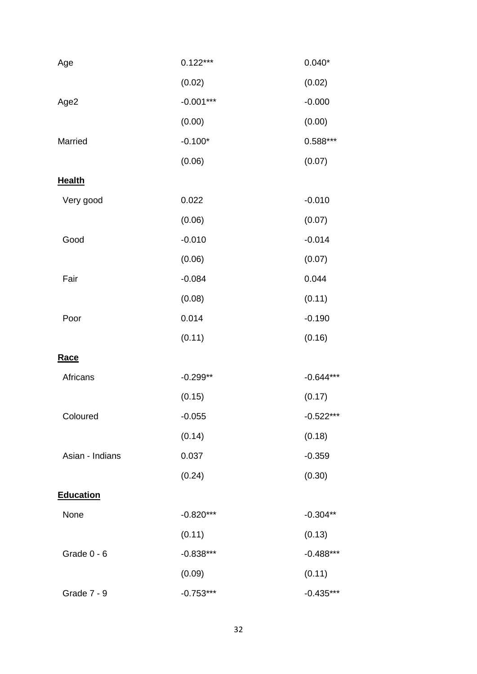| Age                | $0.122***$  | $0.040*$    |
|--------------------|-------------|-------------|
|                    | (0.02)      | (0.02)      |
| Age2               | $-0.001***$ | $-0.000$    |
|                    | (0.00)      | (0.00)      |
| Married            | $-0.100*$   | 0.588***    |
|                    | (0.06)      | (0.07)      |
| <b>Health</b>      |             |             |
| Very good          | 0.022       | $-0.010$    |
|                    | (0.06)      | (0.07)      |
| Good               | $-0.010$    | $-0.014$    |
|                    | (0.06)      | (0.07)      |
| Fair               | $-0.084$    | 0.044       |
|                    | (0.08)      | (0.11)      |
| Poor               | 0.014       | $-0.190$    |
|                    | (0.11)      | (0.16)      |
| <b>Race</b>        |             |             |
| Africans           | $-0.299**$  | $-0.644***$ |
|                    | (0.15)      | (0.17)      |
| Coloured           | $-0.055$    | $-0.522***$ |
|                    | (0.14)      | (0.18)      |
| Asian - Indians    | 0.037       | $-0.359$    |
|                    | (0.24)      | (0.30)      |
| <b>Education</b>   |             |             |
| None               | $-0.820***$ | $-0.304**$  |
|                    | (0.11)      | (0.13)      |
| Grade 0 - 6        | $-0.838***$ | $-0.488***$ |
|                    | (0.09)      | (0.11)      |
| <b>Grade 7 - 9</b> | $-0.753***$ | $-0.435***$ |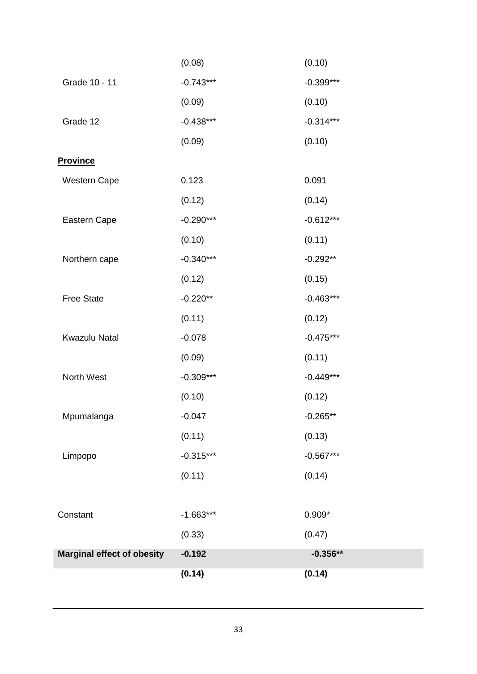|                                   | (0.14)      | (0.14)      |
|-----------------------------------|-------------|-------------|
| <b>Marginal effect of obesity</b> | $-0.192$    | $-0.356**$  |
|                                   | (0.33)      | (0.47)      |
| Constant                          | $-1.663***$ | $0.909*$    |
|                                   | (0.11)      | (0.14)      |
| Limpopo                           | $-0.315***$ | $-0.567***$ |
|                                   | (0.11)      | (0.13)      |
| Mpumalanga                        | $-0.047$    | $-0.265**$  |
|                                   | (0.10)      | (0.12)      |
| North West                        | $-0.309***$ | $-0.449***$ |
|                                   | (0.09)      | (0.11)      |
| Kwazulu Natal                     | $-0.078$    | $-0.475***$ |
|                                   | (0.11)      | (0.12)      |
| <b>Free State</b>                 | $-0.220**$  | $-0.463***$ |
|                                   | (0.12)      | (0.15)      |
| Northern cape                     | $-0.340***$ | $-0.292**$  |
|                                   | (0.10)      | (0.11)      |
| Eastern Cape                      | $-0.290***$ | $-0.612***$ |
|                                   | (0.12)      | (0.14)      |
| Western Cape                      | 0.123       | 0.091       |
| <b>Province</b>                   |             |             |
|                                   | (0.09)      | (0.10)      |
| Grade 12                          | $-0.438***$ | $-0.314***$ |
|                                   | (0.09)      | (0.10)      |
| Grade 10 - 11                     | $-0.743***$ | $-0.399***$ |
|                                   | (0.08)      | (0.10)      |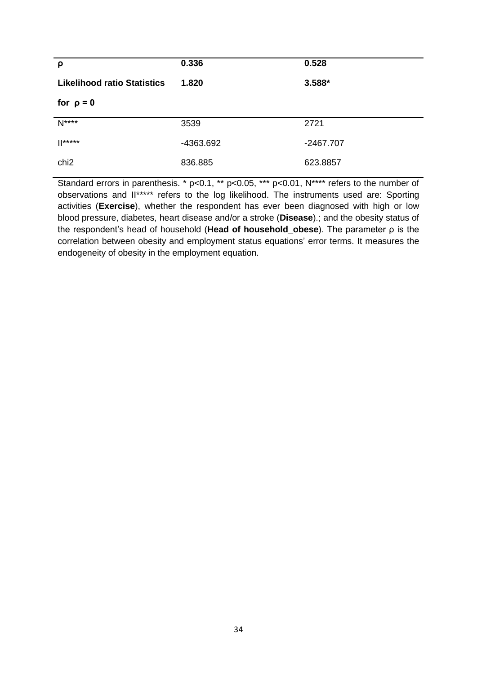| ρ                                  | 0.336     | 0.528       |
|------------------------------------|-----------|-------------|
| <b>Likelihood ratio Statistics</b> | 1.820     | 3.588*      |
| for $\rho = 0$                     |           |             |
| $N***$                             | 3539      | 2721        |
| $  ^{***}$                         | -4363.692 | $-2467.707$ |
| chi <sub>2</sub>                   | 836.885   | 623.8857    |

Standard errors in parenthesis. \* p<0.1, \*\* p<0.05, \*\*\* p<0.01, N\*\*\*\* refers to the number of observations and II\*\*\*\*\* refers to the log likelihood. The instruments used are: Sporting activities (**Exercise**), whether the respondent has ever been diagnosed with high or low blood pressure, diabetes, heart disease and/or a stroke (**Disease**).; and the obesity status of the respondent's head of household (**Head of household\_obese**). The parameter ρ is the correlation between obesity and employment status equations' error terms. It measures the endogeneity of obesity in the employment equation.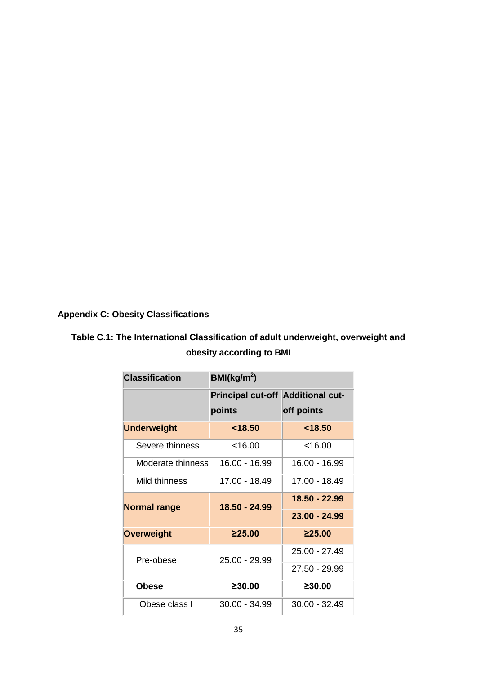# **Appendix C: Obesity Classifications**

# **Table C.1: The International Classification of adult underweight, overweight and obesity according to BMI**

| <b>Classification</b> | BMl(kg/m <sup>2</sup> )                  |                 |
|-----------------------|------------------------------------------|-----------------|
|                       | <b>Principal cut-off Additional cut-</b> |                 |
|                       | points                                   | off points      |
| <b>Underweight</b>    | < 18.50                                  | < 18.50         |
| Severe thinness       | < 16.00                                  | < 16.00         |
| Moderate thinness     | 16.00 - 16.99                            | 16.00 - 16.99   |
| Mild thinness         | 17.00 - 18.49                            | 17.00 - 18.49   |
| <b>Normal range</b>   | 18.50 - 24.99                            | 18.50 - 22.99   |
|                       |                                          | $23.00 - 24.99$ |
| <b>Overweight</b>     | 225.00                                   | 225.00          |
| Pre-obese             | 25.00 - 29.99                            | 25.00 - 27.49   |
|                       |                                          | 27.50 - 29.99   |
| <b>Obese</b>          | 230.00                                   | ≥30.00          |
| Obese class L         | $30.00 - 34.99$                          | $30.00 - 32.49$ |